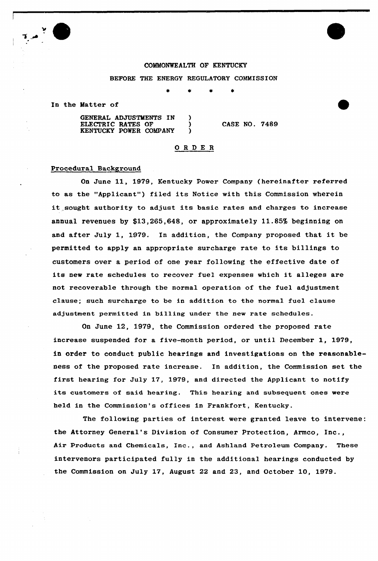## COMMONWEALTH OF KENTUCKY

#### BEFORE THE ENERGY REGULATORY COMMISSION

In the Matter of

GENERAL ADJUSTMENTS IN ) ELECTRIC RATES OF  $\qquad$ KENTUCKY POWER COMPANY ) CASE NO. 7489

## O R D E R

## Procedural Background

On June 11, 1979, Kentucky Power Company (hereinafter referred to as the "Applicant") filed its Notice with this Commission wherein it sought authority to adjust its basic rates and charges to increase annual revenues by \$13,265,648, or approximately 11.85% beginning on and after July 1, 1979. In addition, the Company proposed that it be permitted to apply an appropriate surcharge rate to its billings to customers over a period of one year following the effective date of its new rate schedules to recover fuel expenses which it alleges are not recoverable through the normal operation of the fuel adjustment clause; such surcharge to be in addition to the normal fuel clause adjustment permitted in billing under the new rate schedules.

On June 12, 1979, the Commission ordered the proposed rate increase suspended for a five-month period, or until December 1, 1979, in order to conduct public hearings and investigations on the reasonableness of the proposed rate increase. In addition, the Commission set the first hearing for July 17, 1979, and directed the Applicant to notify its customers of said hearing. This hearing and subsequent ones were held in the Commission's offices in Frankfort, Kentucky.

The following parties of interest were granted leave to intervene: the Attorney General's Division of Consumer Protection, Armco, Inc., Air Products and Chemicals, Inc., and Ashland Petroleum Company. These intervenors participated fully in the additional hearings conducted by the Commission on July 17, August 22 and 23, and October 10, 1979.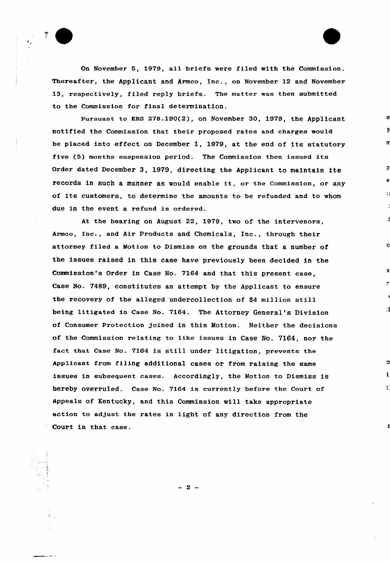On November 5, 1979, all briefs were filed with the Commission. Thereafter, the Applicant and Armco, Inc., on November 12 and November 13, respectively, filed reply briefs. The matter was then submitted to the Commission for final determination.

5

Pursuant to KRS 278.190(2), on November 30, 1979, the Applicant notified the Commission that their proposed rates and charges would be placed into effect on December 1, 1979, at the end of its statutory five {5) months suspension period. The Commission then issued its Order dated December 3, 1979, directing the Applicant to maintain its records in such <sup>a</sup> manner as would enable it, or the Commission, or any of its customers, to determine the amounts to be refunded and to whom due in the event a refund is ordered.

At the hearing on August 22, 1979, two of the intervenors, Armco, Inc., and Air Products and Chemicals, Inc., through their attorney filed a Motion to Dismiss on the grounds that a number of the issues raised in this case have previously been decided in the Commission's Order in Case No. 7164 and that this present case, Case No. 7489, constitutes an attempt by the Applicant to ensure the recovery of the alleged undercollection of \$<sup>4</sup> million still being litigated in Case No. 7164. The Attorney General's Division of Consumer Protection joined in this Motion. Neither the decisions of the Commission relating to like issues in Case No. 7164, nor the fact that Case No. 7164 is still under litigation, prevents the Applicant from filing additional cases or from raising the same issues in subsequent cases. Accordingly, the Motion to Dismiss is hereby overruled. Case No. 7164 is currently before the Court of Appeals of Kentucky, and this Commission vill take appropriate action to adjust the rates in light of any direction from the Court in that case.

 $\cdot$  1

Е.

 $-2 -$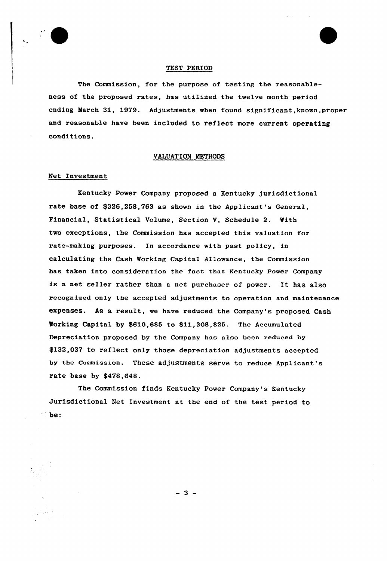

## TEST PERIOD

The Commission, for the purpose of testing the reasonableness of the proposed rates, has utilized the twelve month period ending March 31, 1979. Adjustments when found significant, known, proper and reasonable have been included to reflect more current operating conditions.

## VALUATION METHODS

## Net Investment

Kentucky Power Company proposed a Kentucky jurisdictional rate base of \$326,258,763 as shown in the Applicant's General, Financial, Statistical Volume, Section V, Schedule 2. With two exceptions, the Commission has accepted this valuation for rate-making purposes. In accordance with past policy, in calculating the Cash Working Capital Allowance, the Commission has taken into consideration the fact that Kentucky Power Company is <sup>a</sup> net seller rather than <sup>a</sup> net purchaser of power. It has also recognized only the accepted adjustments to operation and maintenance expenses. As a result, we have reduced the Company's proposed Cash Vorking Capital by \$610,685 to \$11,308,825. The Accumulated Depreciation proposed by the Company has also been reduced by \$132,037 to reflect only those depreciation adjustments accepted by the commission. These adjustments serve to reduce Applicant's rate base by \$478,648.

The Commission finds Kentucky Power Company's Kentucky Jurisdictional Net Investment at the end of the test period to be:

 $-3 -$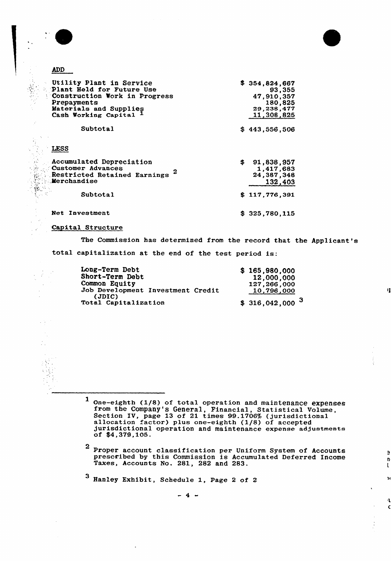

# **ADD**

| Utility Plant in Service<br>Plant Held for Future Use<br>Construction Work in Progress<br>Prepayments<br>Materials and Supplies<br>Cash Working Capital | \$354,824,667<br>93,355<br>47.910.357<br>180,825<br>29,238,477<br>11,308,825 |
|---------------------------------------------------------------------------------------------------------------------------------------------------------|------------------------------------------------------------------------------|
| Subtotal                                                                                                                                                | \$443,556,506                                                                |
| <b>LESS</b>                                                                                                                                             |                                                                              |
| Accumulated Depreciation<br>Customer Advances<br>Restricted Retained Earnings<br><b>Merchandise</b>                                                     | \$<br>91,838,957<br>1,417,683<br>24,387,348<br>132,403                       |
| Subtotal                                                                                                                                                | \$117,776,391                                                                |
| Net Investment                                                                                                                                          | \$325,780,115                                                                |

## Capital Structure

The Commission has determined from the record that the Applicant's

n

ě n.  $\mathbf{t}$ 

 $\overline{\mathbf{R}}$ 

١L

total capitalization at the end of the test period is:

| Long-Term Debt                              | \$165,980,000               |
|---------------------------------------------|-----------------------------|
| Short-Term Debt                             | 12,000,000                  |
| Common Equity                               | 127,266,000                 |
| Job Development Investment Credit<br>(JDIC) | 10,796,000                  |
| Total Capitalization                        | $$316,042,000$ <sup>3</sup> |

1 One-eighth (1/8) of total operation and maintenance expense from the Company's General, Financial, Statistical Volume, Section IV, page 13 of 21 times 99.1706% (jurisdictional allocation factor) plus one-eighth (1/8) of accepted jurisdictional operation and maintenance expense adjustments of \$4,379,105.

2 Proper account classification per Uniform System of Accounts prescribed by this Commission is Accumulated Deferred Income Taxes, Accounts No. 281, 282 and 283.

<sup>3</sup> Hanley Exhibit, Schedule 1, Page <sup>2</sup> of <sup>2</sup>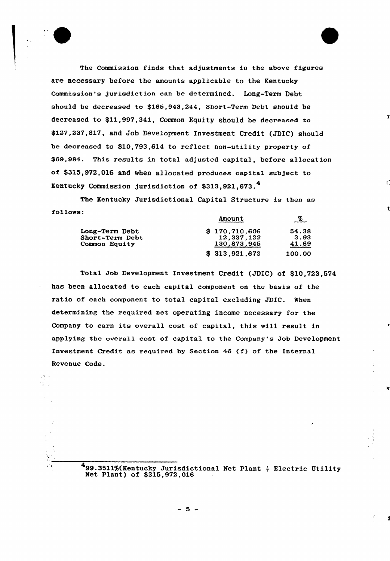

The Commission finds that adjustments in the above figures are necessary before the amounts applicable to the Kentucky Commission's jurisdiction can be determined. Long-Term Debt should be decreased to \$165,943,244, Short-Term Debt should be decreased to \$11,997,341, Common Equity should be decreased to \$127,237,817, and Job Development Investment credit (JDIc) should be decreased to \$10,793,614 to reflect non-utility property of \$69,984. This results in total adjusted capital, before allocation of \$315,972,016 and when allocated produces capital subject to Kentucky Commission jurisdiction of \$313,921,673.

The Kentucky Jurisdictional Capital Structure ia then as follows: Amount  $\alpha$ 

|                 |               | $-\frac{N}{2}$ |
|-----------------|---------------|----------------|
| Long-Term Debt  | \$170,710,606 | 54.38          |
| Short-Term Debt | 12.337.122    | 3.93           |
| Common Equity   | 130,873,945   | 41.69          |
|                 | \$313,921,673 | 100.00         |

Total Job Development Investment Credit (JDIC) of \$10,723,574 has been allocated to each capital component on the basis of the ratio of each component to total capital excluding JDIC. When determining the required net operating income necessary for the Company to earn its overall cost of capital, this will result in applying the overall cost of capital to the Company's Job Development investment Credit as required by Section <sup>46</sup> (f) of the Internal Revenue Code.

> 4<br>
> 99.3511%(Kentucky Jurisdictional Net Plant ÷ Electric Utilit Net Plant) of \$315,972,016

١ī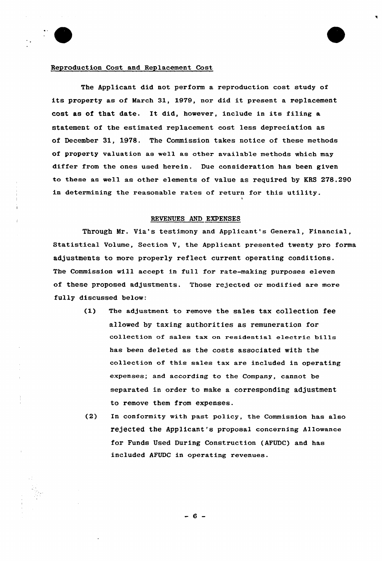

## Reproduction Cost and Replacement Cost

The Applicant did not perform a reproduction cost study of its property as of March 31, 1979, nor did it present a replacement cost as of that date. It did, however, include in its filing a statement of the estimated replacement cost less depreciation as of December 31, 1978. The Commission takes notice of these methods of property valuation as well as other available methods which may differ from the ones used herein. Due consideration has been given to these as well as other elements of value as required by KRS 278.290 in determining the reasonable rates of return for this utility.

## REVENUES AND EXPENSES

Through Mr. Via's testimony and Applicant's General, Financial, Statistical Volume, Section V, the Applicant presented twenty pro forma adjustments to more properly reflect current operating conditions. The Commission will accept in full for rate-making purposes eleven of these proposed adjustments. Those rejected or modified are more fully discussed below:

1

- (1) The adjustment to remove the sales tax collection fee allowed by taxing authorities as remuneration for collection of sales tax on residential electric bills has been deleted as the costs associated with the collection of this sales tax are included in operating expenses; and according to the Company, cannot be separated in order to make a corresponding adjustment to remove them from expenses.
- (2) In conformity with past policy, the Commission has also rejected the Applicant's proposal concerning Allowance for Funds Used During Construction {AFUDC) and has included AFUDC in operating revenues.

- 6 -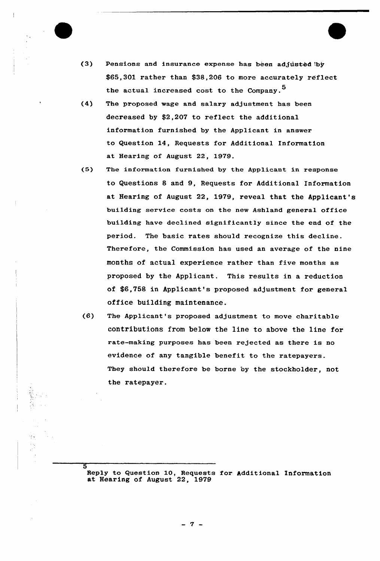

5

- (3) Pensions and insurance expense has been adjusted by \$65,301 rather than \$38,206 to more accurately reflect the actual increased cost to the Company.<sup>5</sup>
- (4) The proposed wage and salary adjustment has been decreased by \$2,207 to reflect the additional information furnished by the Applicant in answer to Question 14, Requests for Additional Information at Hearing of August 22, 1979.
- (5) The information furnished by the Applicant in response to Questions 8 and 9, Requests for Additional Information at Hearing of August 22, 1979, reveal that the Applicant's building service costs on the new Ashland general office building have declined significantly since the end of the period. The basic rates should recognise this decline. Therefore, the Commission has used an average of the nine months of actual experience rather than five months as proposed by the Applicant. This results in a reduction of \$6,758 in Applicant's proposed adjustment for general office building maintenance.
- (6) The Applicant's proposed adjustment to move charitable contributions from below the line to above the line for rate-making purposes has been rejected as there is no evidence of any tangible benefit to the ratepayers. They should therefore be borne by the stockholder, not the ratepayer.

Reply to Question 10, Requests for Additional Information at Hearing of August 22, 1979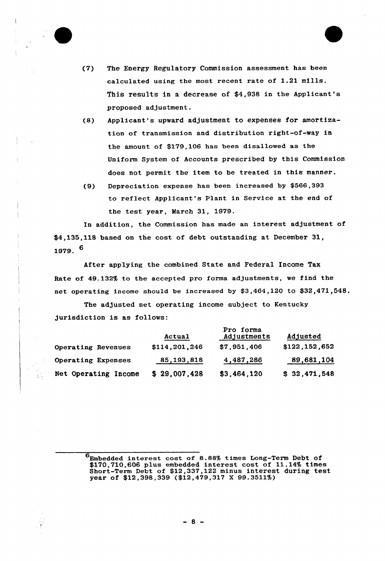

- (7) The Energy Regulatory Commission assessment has been calculated using the most recent rate of 1.21 mills. This results in a decrease of \$4,938 in the Applicant's proposed adjustment.
- (8) Applicant's upward adjustment to expenses for amortization of transmission and distribution right-of-way in the amount of \$179,106 has been disallowed as the Uniform System of Accounts prescribed by this Commission does not permit the item to be treated in this manner.
- (9) Depreciation expense has been increased by \$566,393 to reflect Applicant's Plant in Service at the end of the test year, March 31, 1979.

In addition, the Commission has made an interest adjustment of \$4,135,118 based on the cost of debt outstanding at December 31, 1979. 6

After applying the combined State and Federal Income Tax Rate of 49.132% to the accepted pro forma adjustments, we find the net operating income should be increased by  $$3,464,120$  to  $$32,471,548$ .

The adjusted net operating income subject to Kentucky jurisdiction is as follows:

|                         | Actual        | Pro forma<br>Adjustments | Adjusted      |
|-------------------------|---------------|--------------------------|---------------|
| Operating Revenues      | \$114,201,246 | \$7,951,406              | \$122,152,652 |
| Operating Expenses      | 85, 193, 818  | 4,487,286                | 89,681,104    |
| Net Operating<br>Income | \$29,007,428  | \$3,464,120              | \$32,471,548  |

 $6$ Embedded interest cost of 8.88% times Long-Term Debt of \$170,710,606 plus embedded interest cost of 11.14% times Short-Term Debt of \$12,337,122 minus interest during test year of \$12,398,339 (\$12,479,317 <sup>X</sup> 99.3511%)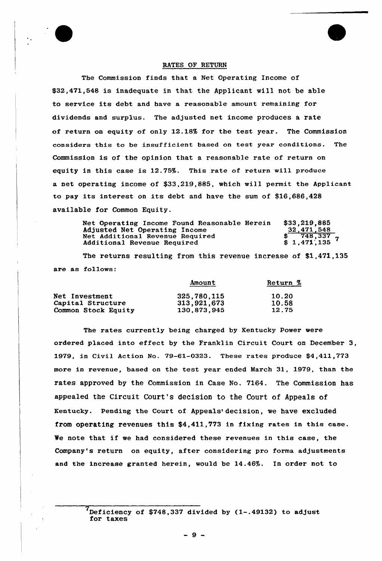

## RATES OF RETURN

The Commission finds that a Net Operating Income of \$32,471,548 is inadequate in that the Applicant will not be able to service its debt and have a reasonable amount remaining for dividends and surplus. The adjusted net income produces a rate of return on equity of only 12.18% for the test year. The Commission considers this to be insufficient based on test year conditions. The Commission is of the opinion that a reasonable rate of return on equity in this case is 12.75%. This rate of return will produce a net operating income of \$33,219,885, which will permit the Applicant to pay its interest on its debt and have the sum of \$16,686,428 available for Common Equity.

Net Operating Income Found Reasonable Herein Adjusted Net Operating Income Net Additional Revenue Required Additional Revenue Required \$33,219,885 32,471,548  $\frac{2}{748,337}$  $$ 1,471,135$ 

The returns resulting from this revenue increase of \$1,471,135 are as follows:

|                       | Amount      | Return % |
|-----------------------|-------------|----------|
| <b>Net Investment</b> | 325,780,115 | 10.20    |
| Capital Structure     | 313,921,673 | 10.58    |
| Common Stock Equity   | 130.873.945 | 12.75    |

The rates currently being charged by Kentucky Power were ordered placed into effect by the Franklin Circuit Court on December 3, 1979, in Civil Action No. 79-61-0323. These rates produce \$4,411,773 more in revenue, based on the test year ended March 31, 1979, than the rates approved by the Commission in Case No. 7164. The Commission has appealed the Circuit Court's decision to the Court of Appeals of Kentucky. Pending the Court of Appeals' decision, we have excluded from operating revenues this \$4,411,773 in fixing rates in this case. We note that if we had considered these revenues in this case, the Company's return on equity, after considering pro forma adjustments and the increase granted herein, would be 14.46%. In order not to

 $'$ Deficiency of \$748,337 divided by  $(1-.49132)$  to adjust for taxes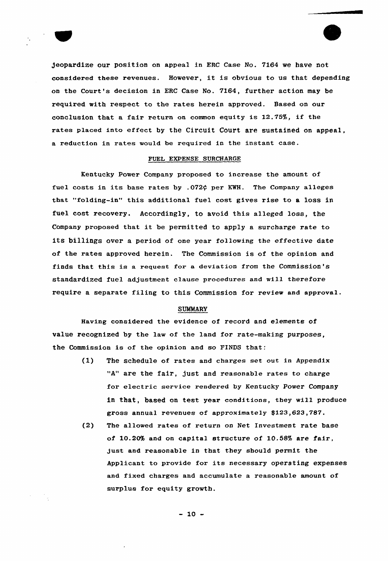

Jeopardize our position on appeal in ERC Case No. 7164 we have not considered these revenues. However, it is obvious to us that depending on the Court's decision in ERC Case No. 7164, further action may be required with respect to the rates herein approved. Based on our conclusion that a fair return on common equity is 12.75%, if the rates placed into effect by the Circuit Court are sustained on appeal, a reduction in rates would he required in the instant case.

### FUEL EXPENSE SURCHARGE

Kentucky Power Company proposed to increase the amount of fuel costs in its base rates by .072¢ per KWH. The Company alleges that "folding-in" this additional fuel cost gives rise to a loss in fuel cost recovery. Accordingly, to avoid this alleged loss, the Company proposed that it be permitted to apply <sup>a</sup> surcharge rate to its billings over a period of one year following the effective date of the rates approved herein. The Commission is of the opinion and finds that this is a requeat for a deviation from the Commission's standardized fuel adjustment clause procedures and will therefore require a separate filing to this Commission for review and approval.

## **SUMMARY**

Having considered the evidence of record and elements of value recognized by the law of the land for rate-making purposes, the Commission is of the opinion and so FINDS that:

- (l) The schedule of rates and charges set out in Appendix "A" are the fair, just and reasonable rates to charge for electric service rendered by Kentucky Power Company in that, based on test year conditions, they will produce gross annual revenues of approximately \$123,623,787.
- (2) The allowed rates of return on Net Investment rate base of 10.20% and on capital structure of 10.58% are fair, just and reasonable in that they should permit the Applicant to provide for its necessary operating expenses and fixed charges and accumulate a reasonable amount of surplus for equity growth.

 $-10 -$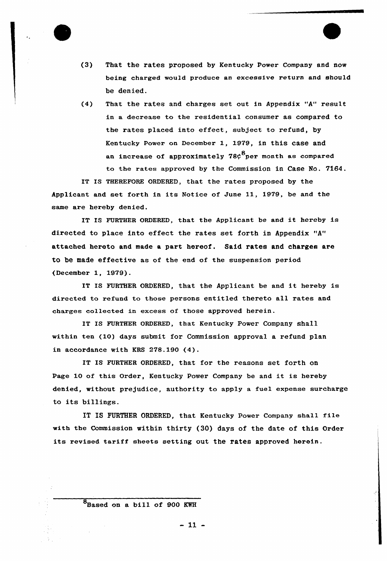

- (3} That the rates proposed by Kentucky Power Company and now being charged would produce an excessive return and should be denied.
- (4) That the rates and charges set out in Appendix "A" result in a decrease to the residential consumer as compared to the rates placed into effect, subject to refund, by Kentucky Power on December 1, 1979, in this case and an increase of approximately  $78\zeta^8$ per month as compared to the rates approved by the Commission in Case No. 7164.

IT IS THEREFORE ORDERED, that the rates proposed by the Applicant and set forth in its Notice of June 11, 1979, be and the same are hereby denied.

IT IS FURTHER ORDERED, that the Applicant be and it hereby is directed to place into effect the rates set forth in Appendix "A" attached hereto and made a part hereof. Said rates and charges are to be made effective as of the end of the suspension period (December 1, 1979).

IT IS FURTHER ORDERED, that the Applicant be and it hereby is directed to refund to those persons entitled thereto all rates and charges co11ected in excess of those approved herein.

IT IS FURTHER ORDERED, that Kentucky Power Company shall within ten (10) days submit for Commission approval a refund plan in accordance with KRS 278.190 (4).

IT IS FURTHER ORDERED, that for the reasons set forth on Page 10 of this Order, Kentucky Power Company be and it is hereby denied, without prejudice, authority to apply a fuel expense surcharge to its billings.

IT IS FURTHER ORDERED, that Kentucky Power Company shall file with the Commission within thirty (30) days of the date of this Order its revised tariff sheets setting out the rates approved herein.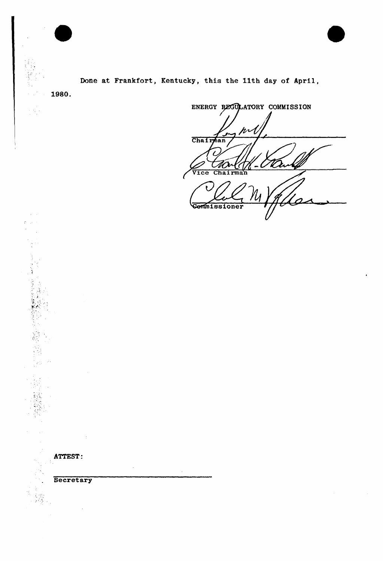Done at Frankfort, Kentucky, this the 11th day of April,

ATTEST:

1980.

 $\chi \sim 1$  $\mathbb{R}^2$  $\mathcal{A}^{\mathcal{A}}$ 

小さん このことをもつ こうしょう こうしょう こうしょう こうしょう こうしょう こうしょう こうしょう こうしょう

 $\mathcal{D}^{(1)}_{\text{L}}$ 

**Secretary** 

 $\ddot{\phantom{a}}$ 

ENERGY REGULATORY COMMISSION pr Chairman thor Wink - C 7 Vice Chairman Cemmissioner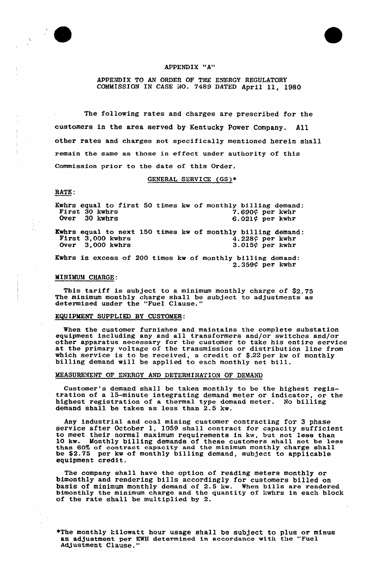

#### APPENDIX "A"

APPENDIK TO AN ORDER OF THE ENERGY REGULATORY COMMISSION IN CASE NO. 7489 DATED April 11, 1980

The following rates and charges are prescribed for the customers in the area served by Kentucky Power Company, All other rates and charges not specifically mentioned herein shall remain the same as those in effect under authority of this Commission prior to the date of this Order.

GENERAL SERVICE (GS)+

#### RATE:

Kwhrs equal to first 50 times kw of monthly billing demand:<br>First 30 kwhrs 7.690¢ per kwhr<br>Over 30 kwhrs 6.021¢ per kwhr  $6.021\phi$  per kwhr Kwhrs equal to next 150 times kw of monthly billing demand:<br>First 3,000 kwhrs  $4.228$ ? per kwhrs  $3.015$ ? per kwhrs  $3.015$ ? per kwhr  $4.228$  $\zeta$  per kwhr<br>3.015 $\zeta$  per kwhr

Kwhrs in excess of 200 times kw of monthly billing demand: 2.359¢ per kwhr

#### MINIMUM CHARGE:

This tariff is subject to a minimum monthly charge of \$2.75 The minimum monthly charge shall be subject to adjustments as determined undex the "Fuel Clause."

## EQUIPMENT SUPPLIED BY CUSTOMER:

When the customer furnishes and maintains the complete substation when the customer furnishes and maintains the comprete substation<br>equipment including any and all transformers and/or switches and/o other apparatus necessary for the customer to take his entire service at the primary voltage of the transmission or distribution line from at the primary voltage of the transmission of distribution line is<br>which service is to be received, a credit of \$.22 per kw of monthl<br>billing demand will be applied to each monthly net bill.

## MEASUREMENT OF ENERGY AND DETERMINATION OF DEMAND

Customer's demand shall be taken monthly to be the highest regis- tration of <sup>a</sup> 15-minute integrating demand meter or indicator, or the highest registration of a thermal type demand meter. No billing demand shall be taken as less than 2.5 kw.

Any industrial and coal mining customer contracting for 3 phase<br>service after October 1, 1959 shall contract for capacity sufficient to meet their normal maximum requirements in kw, but not less than 10 kw. Monthly billing demands of these customers shall not be less than 60% of contract capacity and the minimum monthly charge shall be \$2.75 per kw of monthly billing demand, subject to applicable equipment credit.

The company shall have the option of reading meters monthly or bimonthly and rendering bills accordingly for customers billed on basis of minimum monthly demand of 2.5 kw. When bills are rendered bimonthly the minimum chaxge and the quantity of kwhrs in each block of the rate shall be multiplied by 2.

\*The monthly kilowatt hour usage shall be subject to plus or minus an adjustment per KWH determined in accordance with the "Fuel Adjustment Clause."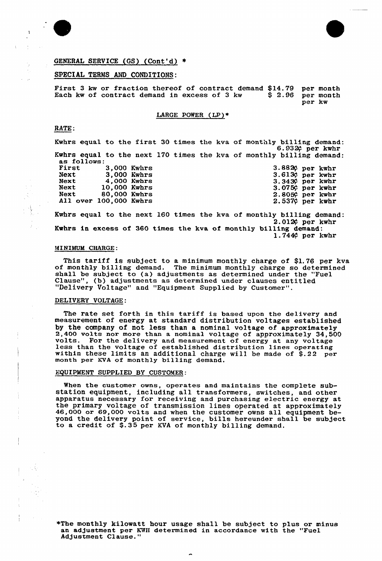

 $\ddot{\cdot}$ 



## GENERAL SERVICE (GS) (Cont'd)

### SPECIAL TERMS AND CONDITIONS:

First 3 kw or fraction thereof of contract demand \$14.79 per month<br>Each kw of contract demand in excess of 3 kw \$2.96 per month Each  $k$ w of contract demand in excess of 3  $kw$ . per kw

LARGE POWER (LP)+

## RATE:

Kwhrs equal to the first 30 times the kva of monthly billing demand<br>6.932¢ per kwhr Kwhrs equal to the next 170 times the kva of monthly billing demand as follows:

| First                  |              | 3,000 Kwhrs |
|------------------------|--------------|-------------|
| Next                   |              | 3.000 Kwhrs |
| Next                   | 4,000 Kwhrs  |             |
| <b>Next</b>            | 10.000 Kwhrs |             |
| Next                   | 80,000 Kwhrs |             |
| All over 100,000 Kwhrs |              |             |
|                        |              |             |

3.8820 per kwh:<br>3.6130 per kwh:  $3.343$ <sup>c</sup> per  $3.075$  per  $2.8056$  per  $2.537$  $\zeta$  per kwh:  $3.343$  per kwhr kwh: kwh: kwh:

Kwhrs equal to the next 160 times the kva of monthly billing demand:<br>2.012 $\rlap{\varphi}$  per kwhr Kwhrs in excess of 360 times the kva of monthly billing demand:<br>1.744 $\varphi$  per kwhr

## >dINIMUM CHARGE:

This tariff is subject to <sup>a</sup> minimum monthly charge of \$1.76 per kva of monthly billing demand. The minimum monthly charge so determined shall be subject to (a) adjustments as determined under the "Fuel Clause", (b) adjustments as determined under clauses entitled "Delivery Voltage" and "Equipment Supplied by Customer".

#### DELIVERY VOLTAGE:

The rate set forth in this tariff is based upon the delivery and measurement of energy at standard distribution voltages established<br>by the company of not less than a nominal voltage of approximately 2,400 volts nor more than a nominal voltage of approximately 34,500 volts. For the delivery and measurement of energy at any voltage less than the voltage of established distribution lines operating within these limits an additional charge will be made of \$.22 per month per KVA of monthly billing demand.

#### EQUIPMENT SUPPLIED BY CUSTOMER:

When the customer owns, operates and maintains the complete sub-station equipment, including all transformers, switches, and other apparatus necessary for receiving and purchasing electric energy at the primary voltage of transmission lines operated at approximately the primary voltage of transmission lines operated at approximately 46,000 or 69,000 volts and when the customer owns all equipment beyond the delivery point of service, bills hereunder shall be subjected. yond the delivery point of service, bills hereunder s<br>to a credit of \$.35 per KVA of monthly billing demand

\*The monthly kilowatt hour usage shall be subject to plus or minu an adjustment per KWH determined in accordance with the "Fuel Adjustment Clause."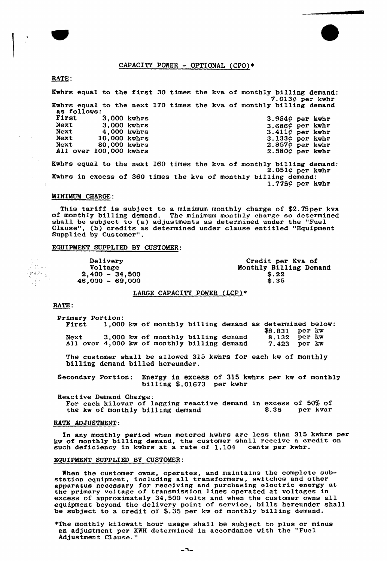## CAPACITY POWER - OPTIONAL (CPO)+

### RATE:

þ

Kwhrs equal to the first 30 times the kva of monthly billing demand<br>7.013¢ per kwhr Kwhrs equal to the next 170 times the kva of monthly billing deman as follows:<br>
First 3,000 kwhrs<br>
Next 3,000 kwhrs Next 3,000 kwhrs<br>Next 4,000 kwhrs Next 4,000 kwhrs<br>Next 10,000 kwhrs Next 10,000 kwhrs<br>Next 80,000 kwhrs  $80,000$  kwhrs All over 100,000 kwhrs 3.964¢ per kwhr<br>3.686¢ per kwhr 3.6869 per kwhr<br>3.411¢ per kwhr<br>3.133¢ per kwhr<br>2.580¢ per kwhr Kwhrs equal to the next 160 times the kva of monthly billing demand<br>2.051¢ per kwhr

Kwhrs in excess of 360 times the kva of monthly billing demand 1.7759 per kwhr

### MINIMUM CHARGE:

This tariff is subject to a minimum monthly charge of \$2.75per kva of monthly billing demand. The minimum monthly charge so determined shall be subject to (a) adjustments as determined under the "Fuel Clause", (b) credits as determined under clause entitled "Equipment" Supplied by Customer".

## EQUIPMENT SUPPLIED BY CUSTOMER:

Delivery Voltage 2,400 — 34,500  $46,000 - 69,000$ Credit per Kva of Monthly Billing Demand  $$.22$  $$.35$ 

### LARGE CAPACITY POWER (LCP)\*

### RATE:

 $\frac{1}{2} \frac{1}{2} \frac{1}{2} \frac{1}{2}$ 陸翻長<br>内科

> Primary Portion:<br>First 1,000 Next 3,000 kw of A11 over 4,000 kw of 1,000 kw of monthly billing demand as determined below: \$8.831 per kw monthly billing demand 8.132 per kw monthly billing demand 7.423 per kw

The customer shall be allowed 315 kwhrs for each kw of monthly billing demand billed hereunder.

Secondary Portion; Energy in excess of 315 kwhrs per kw of monthly billing \$.01673 per kwhr

Reactive Demand Charge: For each kilovar of 1agging reactive demand in excess of 50% of the kw of monthly billing demand  $\frac{1}{2}$ .35 per kvar the kw of monthly billing demand  $\frac{1}{2}$ .35 per kvar

## RATE ADJUSTMENT:

In any monthly period when metered kwhrs are less than 315 kwhrs per In any monthly period when metered Awnis are less than 515 Awnis he will be a credit on kw of monthly billing demand, the customer sharp receive a comparison of  $\frac{1}{100}$  cents per kwhr

#### EQUIPMENT SUPPLIED BY CUSTOMER:

When the customer owns, operates, and maintains the complete subwhen the customer owns, operates, and maintains the comprese set station equipment, including all transformers, switches and other<br>apparatus necossary for recoiving and purchasing eloctric energy at the primary voltage of transmission lines operated at voltages in excess of approximately 34,500 volts and when the customer owns all equipment beyond the delivery point of service, bills hereunder shall be subject to a credit of \$.35 per kw of monthly billing demand

\*The monthly kilowatt hour usage shall be subject to plus or minu an adjustment per KWH determined in accordance with the "Fuel Adjustment Clause."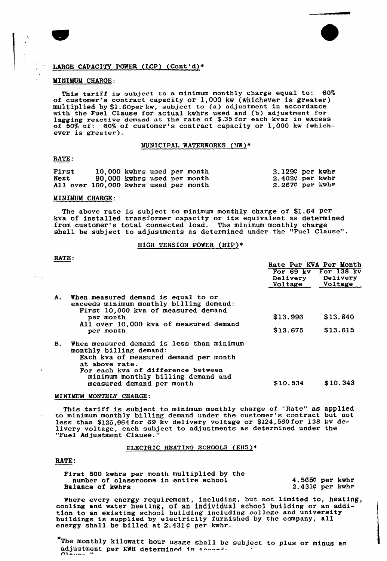

### LARGE CAPACITY POWER (LCP) (Cont'd)+

#### MINIMUM CHARGE:

This tariff is subject to <sup>a</sup> minimum monthly charge equal to: 60% of customer's contract capacity or 1,000 kw (whichever is greater) multiplied by \$1.60per kw, subject to (a) adjustment in accordance multiplied by \$1.00per aw, subject to (a) adjustment in accordance lagging reactive demand at the rate of \$.35 for each kvar in excess of 50% of: 60% of customer's contract capacity or 1,000 kw (whichever is greater).

#### MUNICIPAL WATERWORKS (MW)\*

#### RATE:

| First                                 | 10,000 kwhrs used per month |  |  | $3.129$ per kwhr   |  |
|---------------------------------------|-----------------------------|--|--|--------------------|--|
| Next                                  | 90,000 kwhrs used per month |  |  | $2.402$ ¢ per kwhr |  |
| All over 100,000 kwhrs used per month |                             |  |  | $2.267$ ¢ per kwhr |  |

#### MINIKJM CHARGE:

The above rate is subject to minimum monthly charge of \$1.64 per kva of installed transformer capacity or its equivalent as determined from customer's total connected load. The minimum monthly charge shall be subject to adjustments as determined under the "Fuel Clause".

#### HIGH TENSION POWER (HTP)+

RATE:

 $\sim$ 

|                |                                                                                                                                                                       |                 | Rate Per KVA Per Month |
|----------------|-----------------------------------------------------------------------------------------------------------------------------------------------------------------------|-----------------|------------------------|
|                |                                                                                                                                                                       |                 | For 69 kv For 138 kv   |
|                |                                                                                                                                                                       |                 | Delivery Delivery      |
|                |                                                                                                                                                                       | Voltage Voltage |                        |
| А.             | When measured demand is equal to or<br>exceeds minimum monthly billing demand:<br>First 10,000 kva of measured demand                                                 |                 |                        |
|                | per month<br>All over 10,000 kva of measured demand                                                                                                                   | \$13.996        | \$13.840               |
|                | per month                                                                                                                                                             | \$13.675        | \$13,615               |
| $\mathbf{B}$ . | When measured demand is less than minimum<br>monthly billing demand:<br>Each kva of measured demand per month<br>at above rate.<br>For each kva of difference between |                 |                        |
|                | minimum monthly billing demand and<br>measured demand per month                                                                                                       | \$10.534        | \$10.343               |

#### MINIMUM MONTHLY CHARGE:

This tariff is subject to minimum monthly charge of "Rate" as applied to minimum monthly billing demand under the customer's contract but not less than \$125,964 for 69 kv delivery voltage or \$124,560for 138 kv delivery voltage, each subject to adjustments as determined under the "Fuel Adjustment Clause."

ELECTRIC HEATING SCHOOLS (EHS)+

#### RATE:

| First 500 kwhrs per month multiplied by the |                       |
|---------------------------------------------|-----------------------|
| number of classrooms in entire school       | 4.565 $\phi$ per kwhr |
| <b>Balance of kwhrs</b>                     | $2.431C$ per kwhr     |

Where every energy requirement, including, but not limited to, heating, cooling and water heating, of an individual school building or an addition to an existing school building including college and university tion to an existing school building including college and university furnished by the company, all energy shall be billed at  $2.431\zeta$  per kwhr.

\*The monthly kilowatt hour usage shall be subject to plus or minus an adjustment per KWH determined in accordia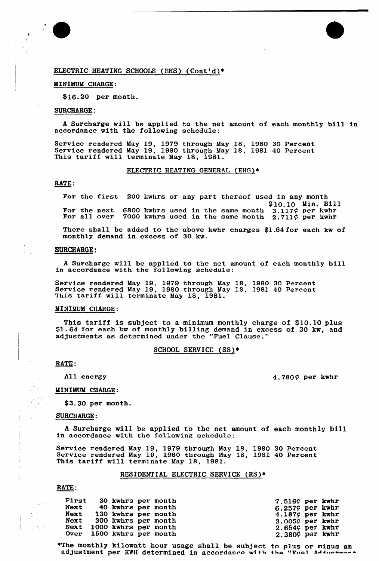## ELECTRIC HEATING SCHOOLS (EHS) (Cont'd)\*

#### MINIMUM CHARGE:

\$ 16.20 per month.

### SURCHARGE:

i<br>W

 $\frac{1}{2}$  ,  $\frac{1}{2}$ 

<sup>A</sup> Surcharge will be applied to the net amount of each monthly bill in accordance with the following schedule:

Service rendered May 19, 1979 through May 18, 1980 30 Percent Service rendered May 19, 1980 through May 18, 1981 40 Percent This tariff will terminate May 18, 1981.

## ELECTRIC HEATING GENERAL (EHG)+

#### RATE:

Fox the first 300 kwhrs or any part thereof used in any month \$10.10 Min. Bill<br>3.117¢ per kwhr For the next 6800 kwhrs used in the same month  $3.117\zeta$  per kwh For all over  $\frac{7000}{2000}$  kwhrs used in the same month  $\frac{2.711\phi}{2.711\phi}$  per kwhrs

There shall be added to the above kwhr charges \$1.64for each kw of monthly demand in excess of 30 kw.

#### SURCHARGE;

<sup>A</sup> Surcharge will be applied, to the net amount of each monthly bill in accordance with the following schedule:

Service rendered May 19, <sup>1979</sup> through May 18, <sup>1980</sup> <sup>30</sup> Percent Service rendered May 19, <sup>1980</sup> through May 18, <sup>1981</sup> <sup>40</sup> Percent This tariff vill terminate May 18, 1981.

#### MINIMUM CHARGE:

This tariff is subject to <sup>a</sup> minimum monthly charge of 510.10 plus \$1.64 for each kw of monthly billing demand in excess of 30 kw, and adjustments as determined under the "Fuel Clause."

## SCHOOL SERVICE (SS)\*

RATE:

All energy

4.780 $\circ$  per kwhr

#### MINIMUM CHARGE:

 $$3.30$  per month.

#### SURCHARGE:

<sup>A</sup> Surcharge will be applied to the net amount of each monthly bill in accordance with the following schedule:

Service rendered May 19, <sup>1979</sup> through May 18, <sup>1980</sup> <sup>30</sup> Percent Service rendered May 19, <sup>1980</sup> through May 18, <sup>1981</sup> <sup>40</sup> Percent This tariff will terminate May 18, 1981.

#### RESIDENTIAL ELECTRIC SERVICE (RS)+

RATE:

|  | First 30 kwhrs per month  |  | $7.516$ per kwhr       |  |
|--|---------------------------|--|------------------------|--|
|  | Next 40 kwhrs per month   |  | $6.257$ per kwhr       |  |
|  | Next 130 kwhrs per month  |  | 4.187 $\circ$ per kwhr |  |
|  | Next 300 kwhrs per month  |  | $3.005$ ¢ per kwhr     |  |
|  | Next 1000 kwhrs per month |  | $2.654$ per kwhr       |  |
|  | Over 1500 kwhrs per month |  | $2.380$ per kwhr       |  |

\*The monthly kilowatt hour usage shall be subject adjustment per KWH determined in accordance with to plus or minus an<br>the "Euel Adductmont